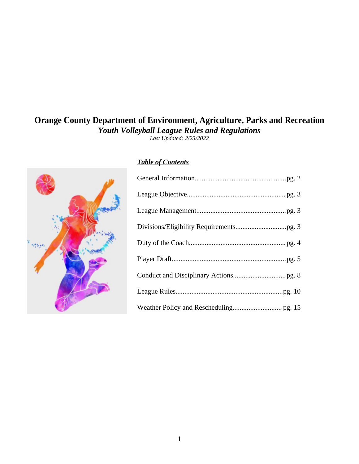# **Orange County Department of Environment, Agriculture, Parks and Recreation** *Youth Volleyball League Rules and Regulations*

*Last Updated: 2/23/2022*



# *Table of Contents*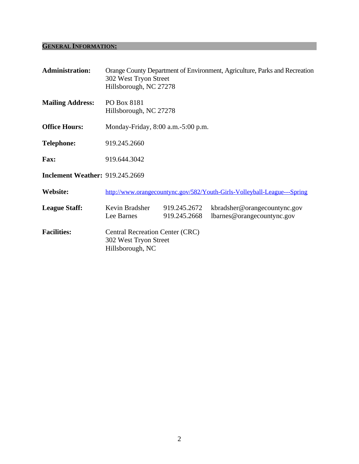# **GENERAL INFORMATION:**

| <b>Administration:</b>                 | 302 West Tryon Street<br>Hillsborough, NC 27278                                     |                              | Orange County Department of Environment, Agriculture, Parks and Recreation |
|----------------------------------------|-------------------------------------------------------------------------------------|------------------------------|----------------------------------------------------------------------------|
| <b>Mailing Address:</b>                | PO Box 8181<br>Hillsborough, NC 27278                                               |                              |                                                                            |
| <b>Office Hours:</b>                   | Monday-Friday, 8:00 a.m.-5:00 p.m.                                                  |                              |                                                                            |
| <b>Telephone:</b>                      | 919.245.2660                                                                        |                              |                                                                            |
| <b>Fax:</b>                            | 919.644.3042                                                                        |                              |                                                                            |
| <b>Inclement Weather: 919.245.2669</b> |                                                                                     |                              |                                                                            |
| <b>Website:</b>                        |                                                                                     |                              | http://www.orangecountync.gov/582/Youth-Girls-Volleyball-League---Spring   |
| <b>League Staff:</b>                   | Kevin Bradsher<br>Lee Barnes                                                        | 919.245.2672<br>919.245.2668 | kbradsher@orangecountync.gov<br>lbarnes@orangecountync.gov                 |
| <b>Facilities:</b>                     | <b>Central Recreation Center (CRC)</b><br>302 West Tryon Street<br>Hillsborough, NC |                              |                                                                            |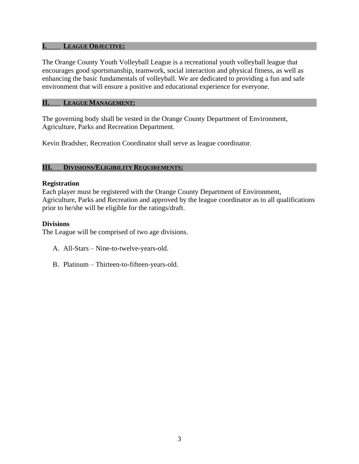#### **I. LEAGUE OBJECTIVE:**

The Orange County Youth Volleyball League is a recreational youth volleyball league that encourages good sportsmanship, teamwork, social interaction and physical fitness, as well as enhancing the basic fundamentals of volleyball. We are dedicated to providing a fun and safe environment that will ensure a positive and educational experience for everyone.

#### **II. LEAGUE MANAGEMENT:**

The governing body shall be vested in the Orange County Department of Environment, Agriculture, Parks and Recreation Department.

Kevin Bradsher, Recreation Coordinator shall serve as league coordinator.

#### **III. DIVISIONS/ELIGIBILITY REQUIREMENTS:**

#### **Registration**

Each player must be registered with the Orange County Department of Environment, Agriculture, Parks and Recreation and approved by the league coordinator as to all qualifications prior to he/she will be eligible for the ratings/draft.

#### **Divisions**

The League will be comprised of two age divisions.

- A. All-Stars Nine-to-twelve-years-old.
- B. Platinum Thirteen-to-fifteen-years-old.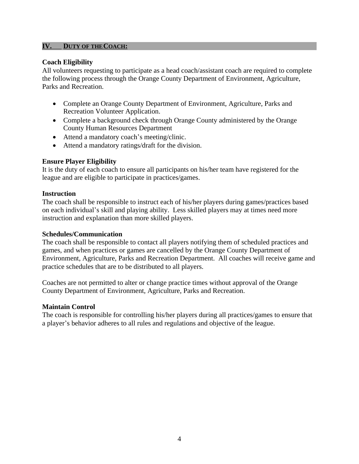#### **IV. DUTY OF THE COACH:**

#### **Coach Eligibility**

All volunteers requesting to participate as a head coach/assistant coach are required to complete the following process through the Orange County Department of Environment, Agriculture, Parks and Recreation.

- Complete an Orange County Department of Environment, Agriculture, Parks and Recreation Volunteer Application.
- Complete a background check through Orange County administered by the Orange County Human Resources Department
- Attend a mandatory coach's meeting/clinic.
- Attend a mandatory ratings/draft for the division.

## **Ensure Player Eligibility**

It is the duty of each coach to ensure all participants on his/her team have registered for the league and are eligible to participate in practices/games.

#### **Instruction**

The coach shall be responsible to instruct each of his/her players during games/practices based on each individual's skill and playing ability. Less skilled players may at times need more instruction and explanation than more skilled players.

#### **Schedules/Communication**

The coach shall be responsible to contact all players notifying them of scheduled practices and games, and when practices or games are cancelled by the Orange County Department of Environment, Agriculture, Parks and Recreation Department. All coaches will receive game and practice schedules that are to be distributed to all players.

Coaches are not permitted to alter or change practice times without approval of the Orange County Department of Environment, Agriculture, Parks and Recreation.

#### **Maintain Control**

The coach is responsible for controlling his/her players during all practices/games to ensure that a player's behavior adheres to all rules and regulations and objective of the league.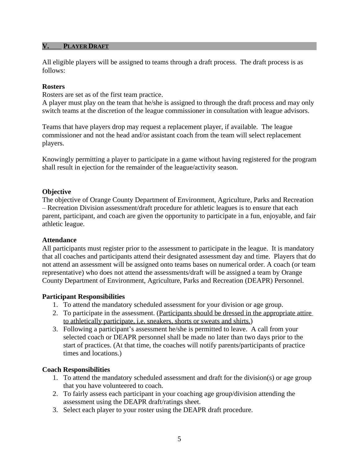#### **V. PLAYER DRAFT**

All eligible players will be assigned to teams through a draft process. The draft process is as follows:

#### **Rosters**

Rosters are set as of the first team practice.

A player must play on the team that he/she is assigned to through the draft process and may only switch teams at the discretion of the league commissioner in consultation with league advisors.

Teams that have players drop may request a replacement player, if available. The league commissioner and not the head and/or assistant coach from the team will select replacement players.

Knowingly permitting a player to participate in a game without having registered for the program shall result in ejection for the remainder of the league/activity season.

## **Objective**

The objective of Orange County Department of Environment, Agriculture, Parks and Recreation – Recreation Division assessment/draft procedure for athletic leagues is to ensure that each parent, participant, and coach are given the opportunity to participate in a fun, enjoyable, and fair athletic league.

#### **Attendance**

All participants must register prior to the assessment to participate in the league. It is mandatory that all coaches and participants attend their designated assessment day and time. Players that do not attend an assessment will be assigned onto teams bases on numerical order. A coach (or team representative) who does not attend the assessments/draft will be assigned a team by Orange County Department of Environment, Agriculture, Parks and Recreation (DEAPR) Personnel.

#### **Participant Responsibilities**

- 1. To attend the mandatory scheduled assessment for your division or age group.
- 2. To participate in the assessment. (Participants should be dressed in the appropriate attire to athletically participate, i.e. sneakers, shorts or sweats and shirts.)
- 3. Following a participant's assessment he/she is permitted to leave. A call from your selected coach or DEAPR personnel shall be made no later than two days prior to the start of practices. (At that time, the coaches will notify parents/participants of practice times and locations.)

#### **Coach Responsibilities**

- 1. To attend the mandatory scheduled assessment and draft for the division(s) or age group that you have volunteered to coach.
- 2. To fairly assess each participant in your coaching age group/division attending the assessment using the DEAPR draft/ratings sheet.
- 3. Select each player to your roster using the DEAPR draft procedure.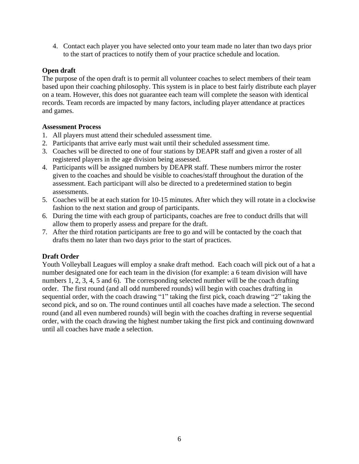4. Contact each player you have selected onto your team made no later than two days prior to the start of practices to notify them of your practice schedule and location.

# **Open draft**

The purpose of the open draft is to permit all volunteer coaches to select members of their team based upon their coaching philosophy. This system is in place to best fairly distribute each player on a team. However, this does not guarantee each team will complete the season with identical records. Team records are impacted by many factors, including player attendance at practices and games.

# **Assessment Process**

- 1. All players must attend their scheduled assessment time.
- 2. Participants that arrive early must wait until their scheduled assessment time.
- 3. Coaches will be directed to one of four stations by DEAPR staff and given a roster of all registered players in the age division being assessed.
- 4. Participants will be assigned numbers by DEAPR staff. These numbers mirror the roster given to the coaches and should be visible to coaches/staff throughout the duration of the assessment. Each participant will also be directed to a predetermined station to begin assessments.
- 5. Coaches will be at each station for 10-15 minutes. After which they will rotate in a clockwise fashion to the next station and group of participants.
- 6. During the time with each group of participants, coaches are free to conduct drills that will allow them to properly assess and prepare for the draft.
- 7. After the third rotation participants are free to go and will be contacted by the coach that drafts them no later than two days prior to the start of practices.

# **Draft Order**

Youth Volleyball Leagues will employ a snake draft method. Each coach will pick out of a hat a number designated one for each team in the division (for example: a 6 team division will have numbers 1, 2, 3, 4, 5 and 6). The corresponding selected number will be the coach drafting order. The first round (and all odd numbered rounds) will begin with coaches drafting in sequential order, with the coach drawing "1" taking the first pick, coach drawing "2" taking the second pick, and so on. The round continues until all coaches have made a selection. The second round (and all even numbered rounds) will begin with the coaches drafting in reverse sequential order, with the coach drawing the highest number taking the first pick and continuing downward until all coaches have made a selection.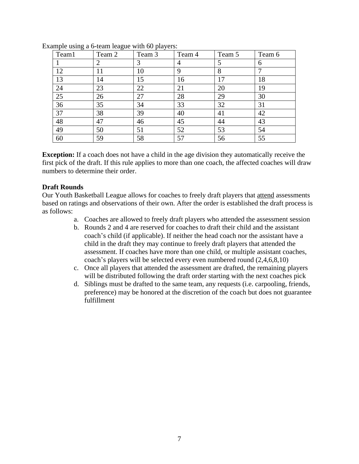| $\tilde{}$<br>Team1 | $\check{ }$<br>Team 2 | Team 3 | Team 4 | Team 5 | Team 6 |
|---------------------|-----------------------|--------|--------|--------|--------|
|                     | $\overline{2}$        | 3      | 4      | 5      | 6      |
| 12                  | 11                    | 10     | 9      | 8      |        |
| 13                  | 14                    | 15     | 16     | 17     | 18     |
| 24                  | 23                    | 22     | 21     | 20     | 19     |
| $\overline{25}$     | 26                    | 27     | 28     | 29     | 30     |
| 36                  | 35                    | 34     | 33     | 32     | 31     |
| 37                  | 38                    | 39     | 40     | 41     | 42     |
| 48                  | 47                    | 46     | 45     | 44     | 43     |
| 49                  | 50                    | 51     | 52     | 53     | 54     |
| 60                  | 59                    | 58     | 57     | 56     | 55     |

Example using a 6-team league with 60 players:

**Exception:** If a coach does not have a child in the age division they automatically receive the first pick of the draft. If this rule applies to more than one coach, the affected coaches will draw numbers to determine their order.

#### **Draft Rounds**

Our Youth Basketball League allows for coaches to freely draft players that attend assessments based on ratings and observations of their own. After the order is established the draft process is as follows:

- a. Coaches are allowed to freely draft players who attended the assessment session
- b. Rounds 2 and 4 are reserved for coaches to draft their child and the assistant coach's child (if applicable). If neither the head coach nor the assistant have a child in the draft they may continue to freely draft players that attended the assessment. If coaches have more than one child, or multiple assistant coaches, coach's players will be selected every even numbered round (2,4,6,8,10)
- c. Once all players that attended the assessment are drafted, the remaining players will be distributed following the draft order starting with the next coaches pick
- d. Siblings must be drafted to the same team, any requests (i.e. carpooling, friends, preference) may be honored at the discretion of the coach but does not guarantee fulfillment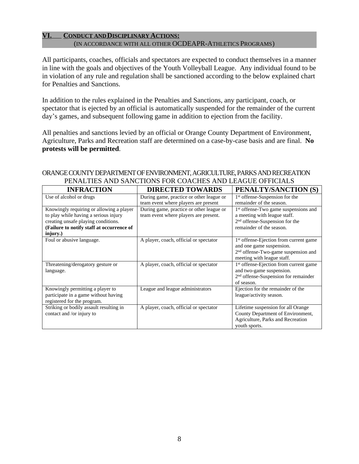## **VI. CONDUCT AND DISCIPLINARY ACTIONS:** (IN ACCORDANCE WITH ALL OTHER OCDEAPR-ATHLETICS PROGRAMS)

All participants, coaches, officials and spectators are expected to conduct themselves in a manner in line with the goals and objectives of the Youth Volleyball League. Any individual found to be in violation of any rule and regulation shall be sanctioned according to the below explained chart for Penalties and Sanctions.

In addition to the rules explained in the Penalties and Sanctions, any participant, coach, or spectator that is ejected by an official is automatically suspended for the remainder of the current day's games, and subsequent following game in addition to ejection from the facility.

All penalties and sanctions levied by an official or Orange County Department of Environment, Agriculture, Parks and Recreation staff are determined on a case-by-case basis and are final. **No protests will be permitted**.

#### ORANGE COUNTY DEPARTMENT OF ENVIRONMENT, AGRICULTURE, PARKS AND RECREATION PENALTIES AND SANCTIONS FOR COACHES AND LEAGUE OFFICIALS

| <b>INFRACTION</b>                         | <b>DIRECTED TOWARDS</b>                  | PENALTY/SANCTION (S)                               |
|-------------------------------------------|------------------------------------------|----------------------------------------------------|
| Use of alcohol or drugs                   | During game, practice or other league or | 1 <sup>st</sup> offense-Suspension for the         |
|                                           | team event where players are present     | remainder of the season.                           |
| Knowingly requiring or allowing a player  | During game, practice or other league or | 1 <sup>st</sup> offense-Two game suspensions and   |
| to play while having a serious injury     | team event where players are present.    | a meeting with league staff.                       |
| creating unsafe playing conditions.       |                                          | 2 <sup>nd</sup> offense-Suspension for the         |
| (Failure to notify staff at occurrence of |                                          | remainder of the season.                           |
| injury.)                                  |                                          |                                                    |
| Foul or abusive language.                 | A player, coach, official or spectator   | 1 <sup>st</sup> offense-Ejection from current game |
|                                           |                                          | and one game suspension.                           |
|                                           |                                          | 2 <sup>nd</sup> offense-Two-game suspension and    |
|                                           |                                          | meeting with league staff.                         |
| Threatening/derogatory gesture or         | A player, coach, official or spectator   | <sup>1st</sup> offense-Ejection from current game  |
| language.                                 |                                          | and two-game suspension.                           |
|                                           |                                          | 2 <sup>nd</sup> offense-Suspension for remainder   |
|                                           |                                          | of season.                                         |
| Knowingly permitting a player to          | League and league administrators         | Ejection for the remainder of the                  |
| participate in a game without having      |                                          | league/activity season.                            |
| registered for the program.               |                                          |                                                    |
| Striking or bodily assault resulting in   | A player, coach, official or spectator   | Lifetime suspension for all Orange                 |
| contact and /or injury to                 |                                          | County Department of Environment,                  |
|                                           |                                          | Agriculture, Parks and Recreation                  |
|                                           |                                          | youth sports.                                      |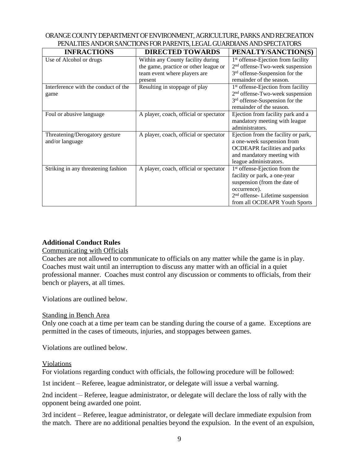| ORANGE COUNTY DEPARTMENT OF ENVIRONMENT, AGRICULTURE, PARKS AND RECREATION |
|----------------------------------------------------------------------------|
| PENALTIES AND/OR SANCTIONS FOR PARENTS, LEGAL GUARDIANS AND SPECTATORS     |

| <b>INFRACTIONS</b>                   | <b>DIRECTED TOWARDS</b>                | PENALTY/SANCTION(S)                            |
|--------------------------------------|----------------------------------------|------------------------------------------------|
| Use of Alcohol or drugs              | Within any County facility during      | 1 <sup>st</sup> offense-Ejection from facility |
|                                      | the game, practice or other league or  | 2 <sup>nd</sup> offense-Two-week suspension    |
|                                      | team event where players are           | 3 <sup>rd</sup> offense-Suspension for the     |
|                                      | present                                | remainder of the season.                       |
| Interference with the conduct of the | Resulting in stoppage of play          | 1 <sup>st</sup> offense-Ejection from facility |
| game                                 |                                        | 2 <sup>nd</sup> offense-Two-week suspension    |
|                                      |                                        | 3rd offense-Suspension for the                 |
|                                      |                                        | remainder of the season.                       |
| Foul or abusive language             | A player, coach, official or spectator | Ejection from facility park and a              |
|                                      |                                        | mandatory meeting with league                  |
|                                      |                                        | administrators.                                |
| Threatening/Derogatory gesture       | A player, coach, official or spectator | Ejection from the facility or park,            |
| and/or language                      |                                        | a one-week suspension from                     |
|                                      |                                        | <b>OCDEAPR</b> facilities and parks            |
|                                      |                                        | and mandatory meeting with                     |
|                                      |                                        | league administrators.                         |
| Striking in any threatening fashion  | A player, coach, official or spectator | 1 <sup>st</sup> offense-Ejection from the      |
|                                      |                                        | facility or park, a one-year                   |
|                                      |                                        | suspension (from the date of                   |
|                                      |                                        | occurrence).                                   |
|                                      |                                        | 2 <sup>nd</sup> offense-Lifetime suspension    |
|                                      |                                        | from all OCDEAPR Youth Sports                  |

# **Additional Conduct Rules**

#### Communicating with Officials

Coaches are not allowed to communicate to officials on any matter while the game is in play. Coaches must wait until an interruption to discuss any matter with an official in a quiet professional manner. Coaches must control any discussion or comments to officials, from their bench or players, at all times.

Violations are outlined below.

#### Standing in Bench Area

Only one coach at a time per team can be standing during the course of a game. Exceptions are permitted in the cases of timeouts, injuries, and stoppages between games.

Violations are outlined below.

#### Violations

For violations regarding conduct with officials, the following procedure will be followed:

1st incident – Referee, league administrator, or delegate will issue a verbal warning.

2nd incident – Referee, league administrator, or delegate will declare the loss of rally with the opponent being awarded one point.

3rd incident – Referee, league administrator, or delegate will declare immediate expulsion from the match. There are no additional penalties beyond the expulsion. In the event of an expulsion,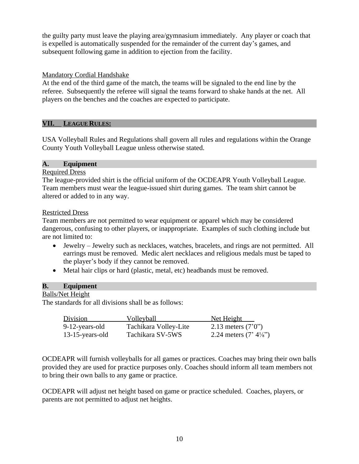the guilty party must leave the playing area/gymnasium immediately. Any player or coach that is expelled is automatically suspended for the remainder of the current day's games, and subsequent following game in addition to ejection from the facility.

# Mandatory Cordial Handshake

At the end of the third game of the match, the teams will be signaled to the end line by the referee. Subsequently the referee will signal the teams forward to shake hands at the net. All players on the benches and the coaches are expected to participate.

# **VII. LEAGUE RULES:**

USA Volleyball Rules and Regulations shall govern all rules and regulations within the Orange County Youth Volleyball League unless otherwise stated.

## **A. Equipment**

#### Required Dress

The league-provided shirt is the official uniform of the OCDEAPR Youth Volleyball League. Team members must wear the league-issued shirt during games. The team shirt cannot be altered or added to in any way.

#### Restricted Dress

Team members are not permitted to wear equipment or apparel which may be considered dangerous, confusing to other players, or inappropriate. Examples of such clothing include but are not limited to:

- Jewelry Jewelry such as necklaces, watches, bracelets, and rings are not permitted. All earrings must be removed. Medic alert necklaces and religious medals must be taped to the player's body if they cannot be removed.
- Metal hair clips or hard (plastic, metal, etc) headbands must be removed.

#### **B. Equipment**

Balls/Net Height

The standards for all divisions shall be as follows:

| <b>Division</b>    | <u>Volleyball</u>     | <u>Net Height</u>               |
|--------------------|-----------------------|---------------------------------|
| 9-12-years-old     | Tachikara Volley-Lite | 2.13 meters $(7'0'')$           |
| $13-15$ -years-old | Tachikara SV-5WS      | 2.24 meters $(7' 4\frac{1}{8})$ |

OCDEAPR will furnish volleyballs for all games or practices. Coaches may bring their own balls provided they are used for practice purposes only. Coaches should inform all team members not to bring their own balls to any game or practice.

OCDEAPR will adjust net height based on game or practice scheduled. Coaches, players, or parents are not permitted to adjust net heights.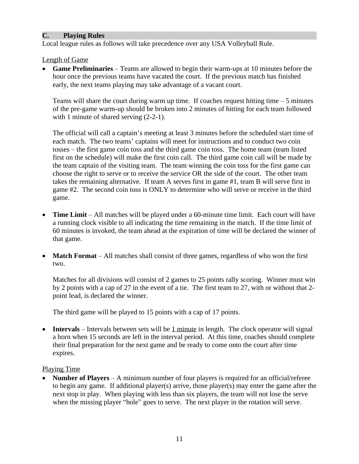# **C. Playing Rules**

Local league rules as follows will take precedence over any USA Volleyball Rule.

Length of Game

 **Game Preliminaries** – Teams are allowed to begin their warm-ups at 10 minutes before the hour once the previous teams have vacated the court. If the previous match has finished early, the next teams playing may take advantage of a vacant court.

Teams will share the court during warm up time. If coaches request hitting time  $-5$  minutes of the pre-game warm-up should be broken into 2 minutes of hitting for each team followed with 1 minute of shared serving  $(2-2-1)$ .

The official will call a captain's meeting at least 3 minutes before the scheduled start time of each match. The two teams' captains will meet for instructions and to conduct two coin tosses – the first game coin toss and the third game coin toss. The home team (team listed first on the schedule) will make the first coin call. The third game coin call will be made by the team captain of the visiting team. The team winning the coin toss for the first game can choose the right to serve or to receive the service OR the side of the court. The other team takes the remaining alternative. If team A serves first in game #1, team B will serve first in game #2. The second coin toss is ONLY to determine who will serve or receive in the third game.

- **Time Limit** All matches will be played under a 60-minute time limit. Each court will have a running clock visible to all indicating the time remaining in the match. If the time limit of 60 minutes is invoked, the team ahead at the expiration of time will be declared the winner of that game.
- **Match Format** All matches shall consist of three games, regardless of who won the first two.

Matches for all divisions will consist of 2 games to 25 points rally scoring. Winner must win by 2 points with a cap of 27 in the event of a tie. The first team to 27, with or without that 2 point lead, is declared the winner.

The third game will be played to 15 points with a cap of 17 points.

• **Intervals** – Intervals between sets will be 1 minute in length. The clock operator will signal a horn when 15 seconds are left in the interval period. At this time, coaches should complete their final preparation for the next game and be ready to come onto the court after time expires.

#### Playing Time

 **Number of Players** – A minimum number of four players is required for an official/referee to begin any game. If additional player(s) arrive, those player(s) may enter the game after the next stop in play. When playing with less than six players, the team will not lose the serve when the missing player "hole" goes to serve. The next player in the rotation will serve.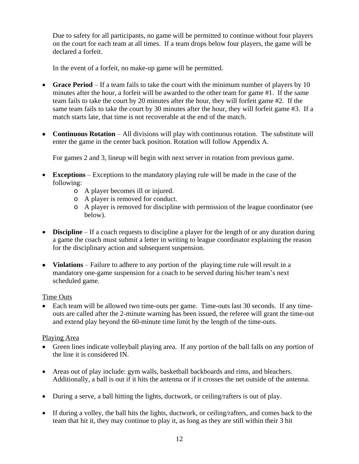Due to safety for all participants, no game will be permitted to continue without four players on the court for each team at all times. If a team drops below four players, the game will be declared a forfeit.

In the event of a forfeit, no make-up game will be permitted.

- **Grace Period**  If a team fails to take the court with the minimum number of players by 10 minutes after the hour, a forfeit will be awarded to the other team for game #1. If the same team fails to take the court by 20 minutes after the hour, they will forfeit game #2. If the same team fails to take the court by 30 minutes after the hour, they will forfeit game #3. If a match starts late, that time is not recoverable at the end of the match.
- **Continuous Rotation** All divisions will play with continuous rotation. The substitute will enter the game in the center back position. Rotation will follow Appendix A.

For games 2 and 3, lineup will begin with next server in rotation from previous game.

- **Exceptions** Exceptions to the mandatory playing rule will be made in the case of the following:
	- o A player becomes ill or injured.
	- o A player is removed for conduct.
	- o A player is removed for discipline with permission of the league coordinator (see below).
- **Discipline** If a coach requests to discipline a player for the length of or any duration during a game the coach must submit a letter in writing to league coordinator explaining the reason for the disciplinary action and subsequent suspension.
- **Violations** Failure to adhere to any portion of the playing time rule will result in a mandatory one-game suspension for a coach to be served during his/her team's next scheduled game.

# Time Outs

 Each team will be allowed two time-outs per game. Time-outs last 30 seconds. If any timeouts are called after the 2-minute warning has been issued, the referee will grant the time-out and extend play beyond the 60-minute time limit by the length of the time-outs.

# Playing Area

- Green lines indicate volleyball playing area. If any portion of the ball falls on any portion of the line it is considered IN.
- Areas out of play include: gym walls, basketball backboards and rims, and bleachers. Additionally, a ball is out if it hits the antenna or if it crosses the net outside of the antenna.
- During a serve, a ball hitting the lights, ductwork, or ceiling/rafters is out of play.
- If during a volley, the ball hits the lights, ductwork, or ceiling/rafters, and comes back to the team that hit it, they may continue to play it, as long as they are still within their 3 hit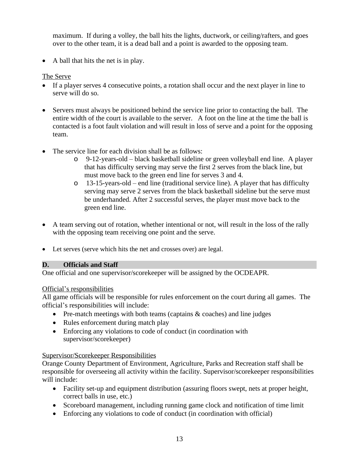maximum. If during a volley, the ball hits the lights, ductwork, or ceiling/rafters, and goes over to the other team, it is a dead ball and a point is awarded to the opposing team.

• A ball that hits the net is in play.

The Serve

- If a player serves 4 consecutive points, a rotation shall occur and the next player in line to serve will do so.
- Servers must always be positioned behind the service line prior to contacting the ball. The entire width of the court is available to the server. A foot on the line at the time the ball is contacted is a foot fault violation and will result in loss of serve and a point for the opposing team.
- The service line for each division shall be as follows:
	- o 9-12-years-old black basketball sideline or green volleyball end line. A player that has difficulty serving may serve the first 2 serves from the black line, but must move back to the green end line for serves 3 and 4.
	- o 13-15-years-old end line (traditional service line). A player that has difficulty serving may serve 2 serves from the black basketball sideline but the serve must be underhanded. After 2 successful serves, the player must move back to the green end line.
- A team serving out of rotation, whether intentional or not, will result in the loss of the rally with the opposing team receiving one point and the serve.
- Let serves (serve which hits the net and crosses over) are legal.

# **D. Officials and Staff**

One official and one supervisor/scorekeeper will be assigned by the OCDEAPR.

# Official's responsibilities

All game officials will be responsible for rules enforcement on the court during all games. The official's responsibilities will include:

- Pre-match meetings with both teams (captains  $&$  coaches) and line judges
- Rules enforcement during match play
- Enforcing any violations to code of conduct (in coordination with supervisor/scorekeeper)

# Supervisor/Scorekeeper Responsibilities

Orange County Department of Environment, Agriculture, Parks and Recreation staff shall be responsible for overseeing all activity within the facility. Supervisor/scorekeeper responsibilities will include:

- Facility set-up and equipment distribution (assuring floors swept, nets at proper height, correct balls in use, etc.)
- Scoreboard management, including running game clock and notification of time limit
- Enforcing any violations to code of conduct (in coordination with official)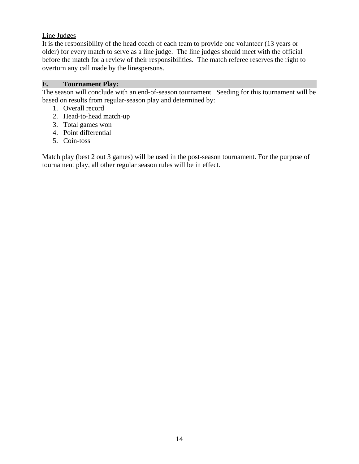# Line Judges

It is the responsibility of the head coach of each team to provide one volunteer (13 years or older) for every match to serve as a line judge. The line judges should meet with the official before the match for a review of their responsibilities. The match referee reserves the right to overturn any call made by the linespersons.

## **E. Tournament Play:**

The season will conclude with an end-of-season tournament. Seeding for this tournament will be based on results from regular-season play and determined by:

- 1. Overall record
- 2. Head-to-head match-up
- 3. Total games won
- 4. Point differential
- 5. Coin-toss

Match play (best 2 out 3 games) will be used in the post-season tournament. For the purpose of tournament play, all other regular season rules will be in effect.